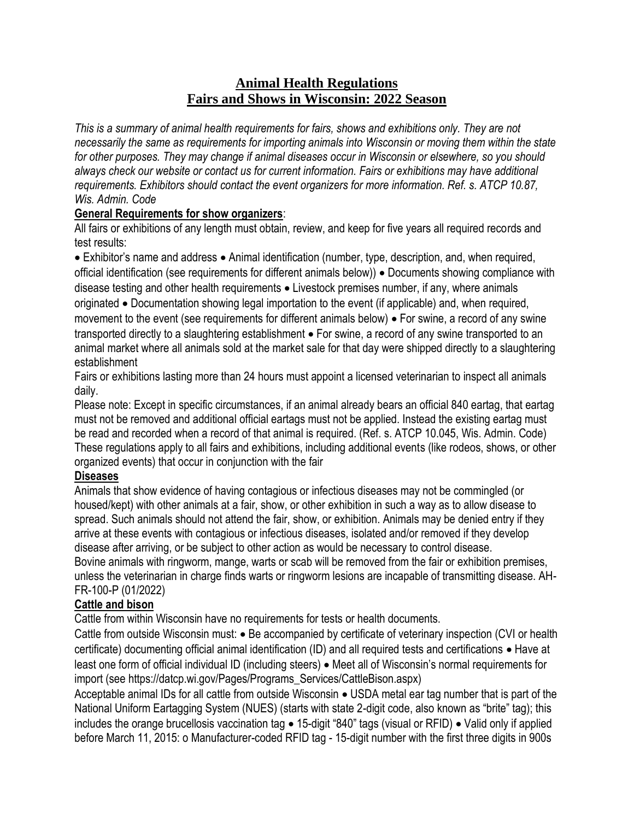# **Animal Health Regulations Fairs and Shows in Wisconsin: 2022 Season**

*This is a summary of animal health requirements for fairs, shows and exhibitions only. They are not necessarily the same as requirements for importing animals into Wisconsin or moving them within the state for other purposes. They may change if animal diseases occur in Wisconsin or elsewhere, so you should always check our website or contact us for current information. Fairs or exhibitions may have additional requirements. Exhibitors should contact the event organizers for more information. Ref. s. ATCP 10.87, Wis. Admin. Code*

### **General Requirements for show organizers**:

All fairs or exhibitions of any length must obtain, review, and keep for five years all required records and test results:

• Exhibitor's name and address • Animal identification (number, type, description, and, when required, official identification (see requirements for different animals below)) • Documents showing compliance with disease testing and other health requirements  $\bullet$  Livestock premises number, if any, where animals originated Documentation showing legal importation to the event (if applicable) and, when required, movement to the event (see requirements for different animals below)  $\bullet$  For swine, a record of any swine transported directly to a slaughtering establishment  $\bullet$  For swine, a record of any swine transported to an animal market where all animals sold at the market sale for that day were shipped directly to a slaughtering establishment

Fairs or exhibitions lasting more than 24 hours must appoint a licensed veterinarian to inspect all animals daily.

Please note: Except in specific circumstances, if an animal already bears an official 840 eartag, that eartag must not be removed and additional official eartags must not be applied. Instead the existing eartag must be read and recorded when a record of that animal is required. (Ref. s. ATCP 10.045, Wis. Admin. Code) These regulations apply to all fairs and exhibitions, including additional events (like rodeos, shows, or other organized events) that occur in conjunction with the fair

## **Diseases**

Animals that show evidence of having contagious or infectious diseases may not be commingled (or housed/kept) with other animals at a fair, show, or other exhibition in such a way as to allow disease to spread. Such animals should not attend the fair, show, or exhibition. Animals may be denied entry if they arrive at these events with contagious or infectious diseases, isolated and/or removed if they develop disease after arriving, or be subject to other action as would be necessary to control disease. Bovine animals with ringworm, mange, warts or scab will be removed from the fair or exhibition premises, unless the veterinarian in charge finds warts or ringworm lesions are incapable of transmitting disease. AH-FR-100-P (01/2022)

# **Cattle and bison**

Cattle from within Wisconsin have no requirements for tests or health documents.

Cattle from outside Wisconsin must: • Be accompanied by certificate of veterinary inspection (CVI or health certificate) documenting official animal identification (ID) and all required tests and certifications • Have at least one form of official individual ID (including steers) • Meet all of Wisconsin's normal requirements for import (see https://datcp.wi.gov/Pages/Programs\_Services/CattleBison.aspx)

Acceptable animal IDs for all cattle from outside Wisconsin . USDA metal ear tag number that is part of the National Uniform Eartagging System (NUES) (starts with state 2-digit code, also known as "brite" tag); this includes the orange brucellosis vaccination tag  $\bullet$  15-digit "840" tags (visual or RFID)  $\bullet$  Valid only if applied before March 11, 2015: o Manufacturer-coded RFID tag - 15-digit number with the first three digits in 900s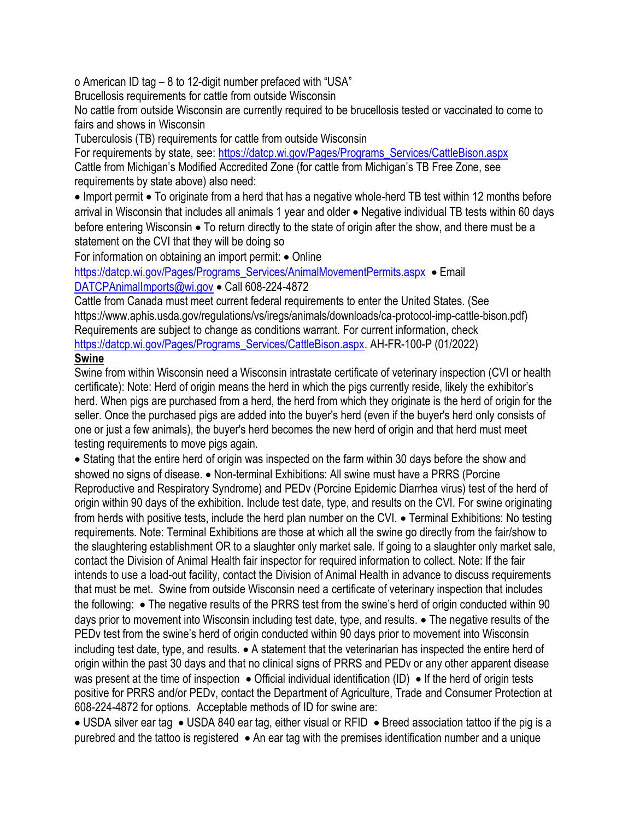o American ID tag – 8 to 12-digit number prefaced with "USA"

Brucellosis requirements for cattle from outside Wisconsin

No cattle from outside Wisconsin are currently required to be brucellosis tested or vaccinated to come to fairs and shows in Wisconsin

Tuberculosis (TB) requirements for cattle from outside Wisconsin

For requirements by state, see: [https://datcp.wi.gov/Pages/Programs\\_Services/CattleBison.aspx](https://datcp.wi.gov/Pages/Programs_Services/CattleBison.aspx) Cattle from Michigan's Modified Accredited Zone (for cattle from Michigan's TB Free Zone, see requirements by state above) also need:

• Import permit • To originate from a herd that has a negative whole-herd TB test within 12 months before arrival in Wisconsin that includes all animals 1 year and older • Negative individual TB tests within 60 days before entering Wisconsin • To return directly to the state of origin after the show, and there must be a statement on the CVI that they will be doing so

For information on obtaining an import permit: • Online

[https://datcp.wi.gov/Pages/Programs\\_Services/AnimalMovementPermits.aspx](https://datcp.wi.gov/Pages/Programs_Services/AnimalMovementPermits.aspx) • Email [DATCPAnimalImports@wi.gov](mailto:DATCPAnimalImports@wi.gov) • Call 608-224-4872

Cattle from Canada must meet current federal requirements to enter the United States. (See https://www.aphis.usda.gov/regulations/vs/iregs/animals/downloads/ca-protocol-imp-cattle-bison.pdf) Requirements are subject to change as conditions warrant. For current information, check [https://datcp.wi.gov/Pages/Programs\\_Services/CattleBison.aspx.](https://datcp.wi.gov/Pages/Programs_Services/CattleBison.aspx) AH-FR-100-P (01/2022) **Swine**

Swine from within Wisconsin need a Wisconsin intrastate certificate of veterinary inspection (CVI or health certificate): Note: Herd of origin means the herd in which the pigs currently reside, likely the exhibitor's herd. When pigs are purchased from a herd, the herd from which they originate is the herd of origin for the seller. Once the purchased pigs are added into the buyer's herd (even if the buyer's herd only consists of one or just a few animals), the buyer's herd becomes the new herd of origin and that herd must meet testing requirements to move pigs again.

 Stating that the entire herd of origin was inspected on the farm within 30 days before the show and showed no signs of disease. • Non-terminal Exhibitions: All swine must have a PRRS (Porcine Reproductive and Respiratory Syndrome) and PEDv (Porcine Epidemic Diarrhea virus) test of the herd of origin within 90 days of the exhibition. Include test date, type, and results on the CVI. For swine originating from herds with positive tests, include the herd plan number on the CVI. • Terminal Exhibitions: No testing requirements. Note: Terminal Exhibitions are those at which all the swine go directly from the fair/show to the slaughtering establishment OR to a slaughter only market sale. If going to a slaughter only market sale, contact the Division of Animal Health fair inspector for required information to collect. Note: If the fair intends to use a load-out facility, contact the Division of Animal Health in advance to discuss requirements that must be met. Swine from outside Wisconsin need a certificate of veterinary inspection that includes the following:  $\bullet$  The negative results of the PRRS test from the swine's herd of origin conducted within 90 days prior to movement into Wisconsin including test date, type, and results. • The negative results of the PEDv test from the swine's herd of origin conducted within 90 days prior to movement into Wisconsin including test date, type, and results.  $\bullet$  A statement that the veterinarian has inspected the entire herd of origin within the past 30 days and that no clinical signs of PRRS and PEDv or any other apparent disease was present at the time of inspection  $\bullet$  Official individual identification (ID)  $\bullet$  If the herd of origin tests positive for PRRS and/or PEDv, contact the Department of Agriculture, Trade and Consumer Protection at 608-224-4872 for options. Acceptable methods of ID for swine are:

• USDA silver ear tag • USDA 840 ear tag, either visual or RFID • Breed association tattoo if the pig is a purebred and the tattoo is registered  $\bullet$  An ear tag with the premises identification number and a unique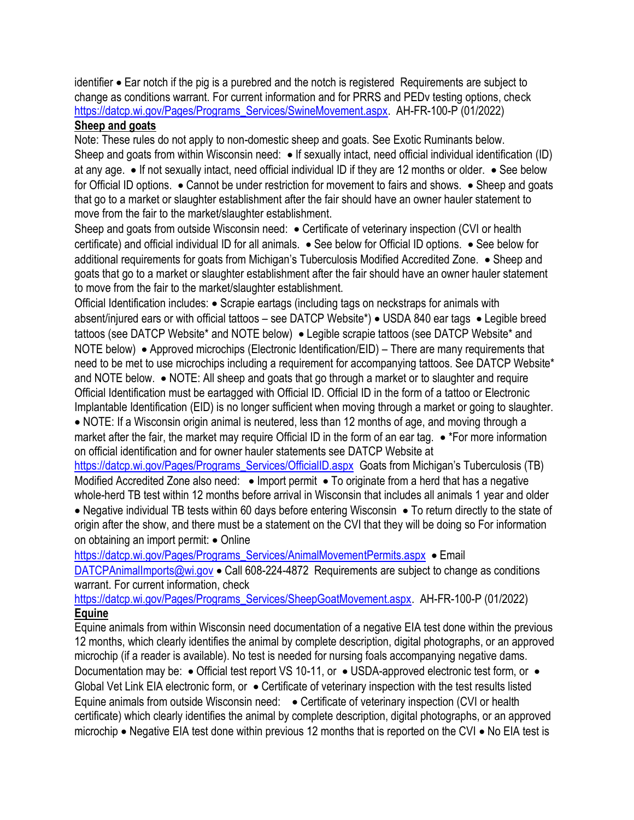identifier Ear notch if the pig is a purebred and the notch is registered Requirements are subject to change as conditions warrant. For current information and for PRRS and PEDv testing options, check [https://datcp.wi.gov/Pages/Programs\\_Services/SwineMovement.aspx.](https://datcp.wi.gov/Pages/Programs_Services/SwineMovement.aspx) AH-FR-100-P (01/2022) **Sheep and goats**

Note: These rules do not apply to non-domestic sheep and goats. See Exotic Ruminants below. Sheep and goats from within Wisconsin need:  $\bullet$  If sexually intact, need official individual identification (ID) at any age.  $\bullet$  If not sexually intact, need official individual ID if they are 12 months or older.  $\bullet$  See below for Official ID options.  $\bullet$  Cannot be under restriction for movement to fairs and shows.  $\bullet$  Sheep and goats that go to a market or slaughter establishment after the fair should have an owner hauler statement to move from the fair to the market/slaughter establishment.

Sheep and goats from outside Wisconsin need: • Certificate of veterinary inspection (CVI or health certificate) and official individual ID for all animals.  $\bullet$  See below for Official ID options.  $\bullet$  See below for additional requirements for goats from Michigan's Tuberculosis Modified Accredited Zone. • Sheep and goats that go to a market or slaughter establishment after the fair should have an owner hauler statement to move from the fair to the market/slaughter establishment.

Official Identification includes: • Scrapie eartags (including tags on neckstraps for animals with absent/injured ears or with official tattoos – see DATCP Website\*)  $\bullet$  USDA 840 ear tags  $\bullet$  Legible breed tattoos (see DATCP Website\* and NOTE below) . Legible scrapie tattoos (see DATCP Website\* and NOTE below)  $\bullet$  Approved microchips (Electronic Identification/EID) – There are many requirements that need to be met to use microchips including a requirement for accompanying tattoos. See DATCP Website\* and NOTE below.  $\bullet$  NOTE: All sheep and goats that go through a market or to slaughter and require Official Identification must be eartagged with Official ID. Official ID in the form of a tattoo or Electronic Implantable Identification (EID) is no longer sufficient when moving through a market or going to slaughter. NOTE: If a Wisconsin origin animal is neutered, less than 12 months of age, and moving through a

market after the fair, the market may require Official ID in the form of an ear tag.  $\bullet$  \*For more information on official identification and for owner hauler statements see DATCP Website at

[https://datcp.wi.gov/Pages/Programs\\_Services/OfficialID.aspx](https://datcp.wi.gov/Pages/Programs_Services/OfficialID.aspx) Goats from Michigan's Tuberculosis (TB) Modified Accredited Zone also need: . Import permit . To originate from a herd that has a negative whole-herd TB test within 12 months before arrival in Wisconsin that includes all animals 1 year and older • Negative individual TB tests within 60 days before entering Wisconsin • To return directly to the state of origin after the show, and there must be a statement on the CVI that they will be doing so For information on obtaining an import permit: • Online

[https://datcp.wi.gov/Pages/Programs\\_Services/AnimalMovementPermits.aspx](https://datcp.wi.gov/Pages/Programs_Services/AnimalMovementPermits.aspx) • Email

[DATCPAnimalImports@wi.gov](mailto:DATCPAnimalImports@wi.gov) • Call 608-224-4872 Requirements are subject to change as conditions warrant. For current information, check

[https://datcp.wi.gov/Pages/Programs\\_Services/SheepGoatMovement.aspx.](https://datcp.wi.gov/Pages/Programs_Services/SheepGoatMovement.aspx) AH-FR-100-P (01/2022) **Equine**

Equine animals from within Wisconsin need documentation of a negative EIA test done within the previous 12 months, which clearly identifies the animal by complete description, digital photographs, or an approved microchip (if a reader is available). No test is needed for nursing foals accompanying negative dams.

Documentation may be: • Official test report VS 10-11, or • USDA-approved electronic test form, or • Global Vet Link EIA electronic form, or  $\bullet$  Certificate of veterinary inspection with the test results listed Equine animals from outside Wisconsin need:  $\bullet$  Certificate of veterinary inspection (CVI or health certificate) which clearly identifies the animal by complete description, digital photographs, or an approved microchip  $\bullet$  Negative EIA test done within previous 12 months that is reported on the CVI  $\bullet$  No EIA test is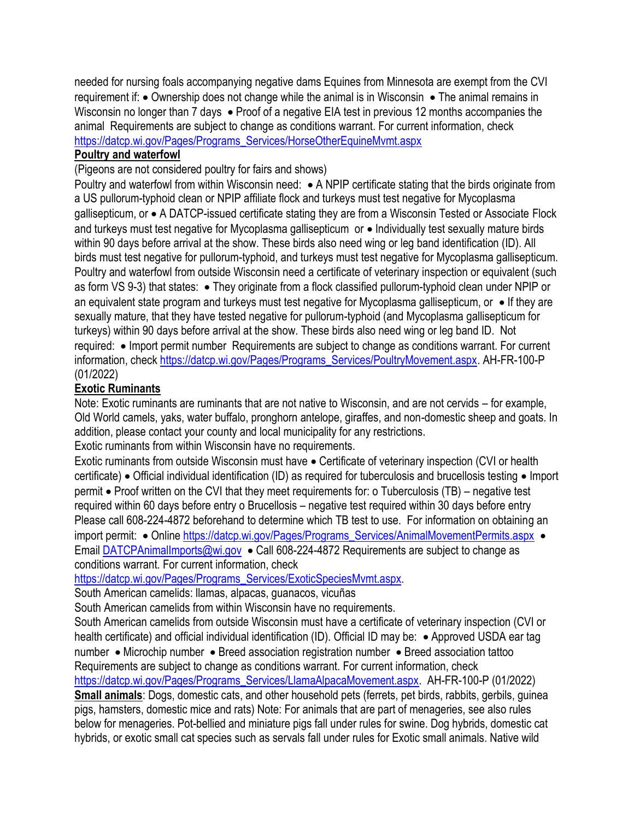needed for nursing foals accompanying negative dams Equines from Minnesota are exempt from the CVI requirement if:  $\bullet$  Ownership does not change while the animal is in Wisconsin  $\bullet$  The animal remains in Wisconsin no longer than 7 days  $\bullet$  Proof of a negative EIA test in previous 12 months accompanies the animal Requirements are subject to change as conditions warrant. For current information, check [https://datcp.wi.gov/Pages/Programs\\_Services/HorseOtherEquineMvmt.aspx](https://datcp.wi.gov/Pages/Programs_Services/HorseOtherEquineMvmt.aspx)

#### **Poultry and waterfowl**

(Pigeons are not considered poultry for fairs and shows)

Poultry and waterfowl from within Wisconsin need: • A NPIP certificate stating that the birds originate from a US pullorum-typhoid clean or NPIP affiliate flock and turkeys must test negative for Mycoplasma gallisepticum, or • A DATCP-issued certificate stating they are from a Wisconsin Tested or Associate Flock and turkeys must test negative for Mycoplasma gallisepticum or • Individually test sexually mature birds within 90 days before arrival at the show. These birds also need wing or leg band identification (ID). All birds must test negative for pullorum-typhoid, and turkeys must test negative for Mycoplasma gallisepticum. Poultry and waterfowl from outside Wisconsin need a certificate of veterinary inspection or equivalent (such as form VS 9-3) that states: • They originate from a flock classified pullorum-typhoid clean under NPIP or an equivalent state program and turkeys must test negative for Mycoplasma gallisepticum, or  $\bullet$  If they are sexually mature, that they have tested negative for pullorum-typhoid (and Mycoplasma gallisepticum for turkeys) within 90 days before arrival at the show. These birds also need wing or leg band ID. Not required: • Import permit number Requirements are subject to change as conditions warrant. For current information, check [https://datcp.wi.gov/Pages/Programs\\_Services/PoultryMovement.aspx.](https://datcp.wi.gov/Pages/Programs_Services/PoultryMovement.aspx) AH-FR-100-P (01/2022)

#### **Exotic Ruminants**

Note: Exotic ruminants are ruminants that are not native to Wisconsin, and are not cervids – for example, Old World camels, yaks, water buffalo, pronghorn antelope, giraffes, and non-domestic sheep and goats. In addition, please contact your county and local municipality for any restrictions.

Exotic ruminants from within Wisconsin have no requirements.

Exotic ruminants from outside Wisconsin must have  $\bullet$  Certificate of veterinary inspection (CVI or health certificate) • Official individual identification (ID) as required for tuberculosis and brucellosis testing • Import permit Proof written on the CVI that they meet requirements for: o Tuberculosis (TB) – negative test required within 60 days before entry o Brucellosis – negative test required within 30 days before entry Please call 608-224-4872 beforehand to determine which TB test to use. For information on obtaining an import permit: • Online [https://datcp.wi.gov/Pages/Programs\\_Services/AnimalMovementPermits.aspx](https://datcp.wi.gov/Pages/Programs_Services/AnimalMovementPermits.aspx) • Email [DATCPAnimalImports@wi.gov](mailto:DATCPAnimalImports@wi.gov) • Call 608-224-4872 Requirements are subject to change as conditions warrant. For current information, check

[https://datcp.wi.gov/Pages/Programs\\_Services/ExoticSpeciesMvmt.aspx.](https://datcp.wi.gov/Pages/Programs_Services/ExoticSpeciesMvmt.aspx)

South American camelids: llamas, alpacas, guanacos, vicuñas

South American camelids from within Wisconsin have no requirements.

South American camelids from outside Wisconsin must have a certificate of veterinary inspection (CVI or health certificate) and official individual identification (ID). Official ID may be: • Approved USDA ear tag number • Microchip number • Breed association registration number • Breed association tattoo Requirements are subject to change as conditions warrant. For current information, check [https://datcp.wi.gov/Pages/Programs\\_Services/LlamaAlpacaMovement.aspx.](https://datcp.wi.gov/Pages/Programs_Services/LlamaAlpacaMovement.aspx) AH-FR-100-P (01/2022) **Small animals**: Dogs, domestic cats, and other household pets (ferrets, pet birds, rabbits, gerbils, guinea pigs, hamsters, domestic mice and rats) Note: For animals that are part of menageries, see also rules below for menageries. Pot-bellied and miniature pigs fall under rules for swine. Dog hybrids, domestic cat hybrids, or exotic small cat species such as servals fall under rules for Exotic small animals. Native wild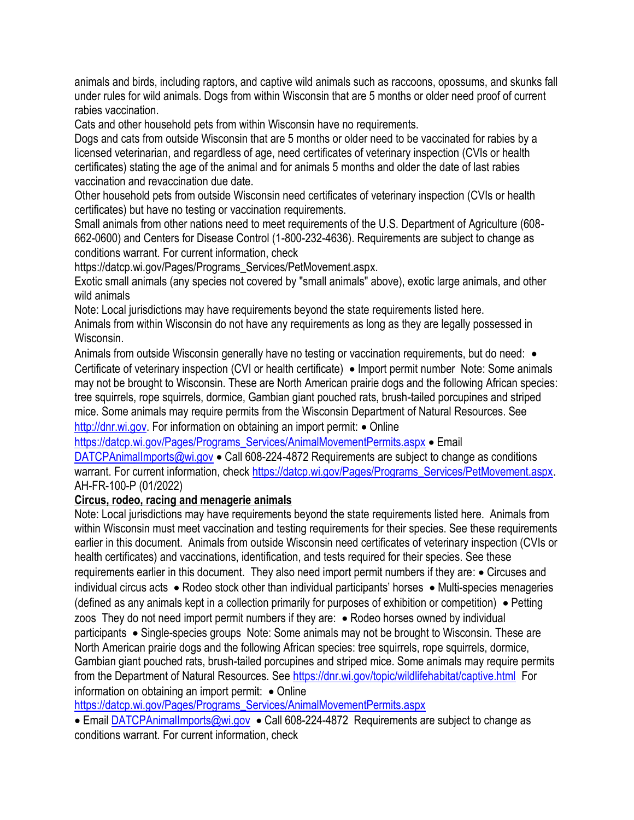animals and birds, including raptors, and captive wild animals such as raccoons, opossums, and skunks fall under rules for wild animals. Dogs from within Wisconsin that are 5 months or older need proof of current rabies vaccination.

Cats and other household pets from within Wisconsin have no requirements.

Dogs and cats from outside Wisconsin that are 5 months or older need to be vaccinated for rabies by a licensed veterinarian, and regardless of age, need certificates of veterinary inspection (CVIs or health certificates) stating the age of the animal and for animals 5 months and older the date of last rabies vaccination and revaccination due date.

Other household pets from outside Wisconsin need certificates of veterinary inspection (CVIs or health certificates) but have no testing or vaccination requirements.

Small animals from other nations need to meet requirements of the U.S. Department of Agriculture (608- 662-0600) and Centers for Disease Control (1-800-232-4636). Requirements are subject to change as conditions warrant. For current information, check

https://datcp.wi.gov/Pages/Programs\_Services/PetMovement.aspx.

Exotic small animals (any species not covered by "small animals" above), exotic large animals, and other wild animals

Note: Local jurisdictions may have requirements beyond the state requirements listed here.

Animals from within Wisconsin do not have any requirements as long as they are legally possessed in Wisconsin.

Animals from outside Wisconsin generally have no testing or vaccination requirements, but do need: • Certificate of veterinary inspection (CVI or health certificate) • Import permit number Note: Some animals may not be brought to Wisconsin. These are North American prairie dogs and the following African species: tree squirrels, rope squirrels, dormice, Gambian giant pouched rats, brush-tailed porcupines and striped mice. Some animals may require permits from the Wisconsin Department of Natural Resources. See

[http://dnr.wi.gov.](http://dnr.wi.gov/) For information on obtaining an import permit: • Online

[https://datcp.wi.gov/Pages/Programs\\_Services/AnimalMovementPermits.aspx](https://datcp.wi.gov/Pages/Programs_Services/AnimalMovementPermits.aspx) • Email

[DATCPAnimalImports@wi.gov](mailto:DATCPAnimalImports@wi.gov)  $\bullet$  Call 608-224-4872 Requirements are subject to change as conditions warrant. For current information, chec[k https://datcp.wi.gov/Pages/Programs\\_Services/PetMovement.aspx.](https://datcp.wi.gov/Pages/Programs_Services/PetMovement.aspx) AH-FR-100-P (01/2022)

## **Circus, rodeo, racing and menagerie animals**

Note: Local jurisdictions may have requirements beyond the state requirements listed here. Animals from within Wisconsin must meet vaccination and testing requirements for their species. See these requirements earlier in this document. Animals from outside Wisconsin need certificates of veterinary inspection (CVIs or health certificates) and vaccinations, identification, and tests required for their species. See these requirements earlier in this document. They also need import permit numbers if they are:  $\bullet$  Circuses and individual circus acts  $\bullet$  Rodeo stock other than individual participants' horses  $\bullet$  Multi-species menageries (defined as any animals kept in a collection primarily for purposes of exhibition or competition)  $\bullet$  Petting zoos They do not need import permit numbers if they are:  $\bullet$  Rodeo horses owned by individual participants Single-species groups Note: Some animals may not be brought to Wisconsin. These are North American prairie dogs and the following African species: tree squirrels, rope squirrels, dormice, Gambian giant pouched rats, brush-tailed porcupines and striped mice. Some animals may require permits from the Department of Natural Resources. See<https://dnr.wi.gov/topic/wildlifehabitat/captive.html>For information on obtaining an import permit:  $\bullet$  Online

https://datcp.wi.gov/Pages/Programs\_Services/AnimalMovementPermits.aspx

■ Email [DATCPAnimalImports@wi.gov](mailto:DATCPAnimalImports@wi.gov) • Call 608-224-4872 Requirements are subject to change as conditions warrant. For current information, check